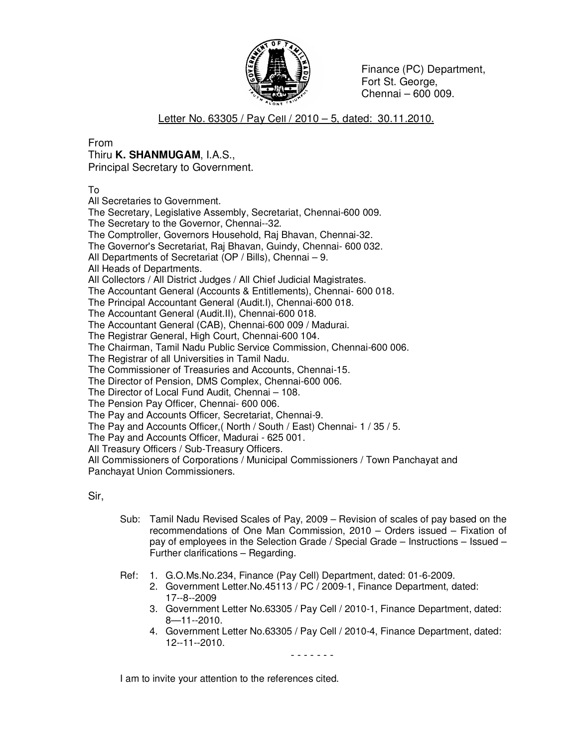

 Finance (PC) Department, Fort St. George, Chennai – 600 009.

## Letter No. 63305 / Pay Cell / 2010 – 5, dated: 30.11.2010.

From

## Thiru **K. SHANMUGAM**, I.A.S.,

Principal Secretary to Government.

To

All Secretaries to Government.

The Secretary, Legislative Assembly, Secretariat, Chennai-600 009.

The Secretary to the Governor, Chennai--32.

The Comptroller, Governors Household, Raj Bhavan, Chennai-32.

The Governor's Secretariat, Raj Bhavan, Guindy, Chennai- 600 032.

All Departments of Secretariat (OP / Bills), Chennai – 9.

All Heads of Departments.

All Collectors / All District Judges / All Chief Judicial Magistrates.

The Accountant General (Accounts & Entitlements), Chennai- 600 018.

The Principal Accountant General (Audit.I), Chennai-600 018.

The Accountant General (Audit.II), Chennai-600 018.

The Accountant General (CAB), Chennai-600 009 / Madurai.

The Registrar General, High Court, Chennai-600 104.

The Chairman, Tamil Nadu Public Service Commission, Chennai-600 006.

The Registrar of all Universities in Tamil Nadu.

The Commissioner of Treasuries and Accounts, Chennai-15.

The Director of Pension, DMS Complex, Chennai-600 006.

The Director of Local Fund Audit, Chennai – 108.

The Pension Pay Officer, Chennai- 600 006.

The Pay and Accounts Officer, Secretariat, Chennai-9.

The Pay and Accounts Officer,( North / South / East) Chennai- 1 / 35 / 5.

The Pay and Accounts Officer, Madurai - 625 001.

All Treasury Officers / Sub-Treasury Officers.

All Commissioners of Corporations / Municipal Commissioners / Town Panchayat and Panchayat Union Commissioners.

Sir,

- Sub: Tamil Nadu Revised Scales of Pay, 2009 Revision of scales of pay based on the recommendations of One Man Commission, 2010 – Orders issued – Fixation of pay of employees in the Selection Grade / Special Grade – Instructions – Issued – Further clarifications – Regarding.
- Ref: 1. G.O.Ms.No.234, Finance (Pay Cell) Department, dated: 01-6-2009.
	- 2. Government Letter.No.45113 / PC / 2009-1, Finance Department, dated: 17--8--2009
	- 3. Government Letter No.63305 / Pay Cell / 2010-1, Finance Department, dated: 8—11--2010.
	- 4. Government Letter No.63305 / Pay Cell / 2010-4, Finance Department, dated: 12--11--2010.

- - - - - - -

I am to invite your attention to the references cited.